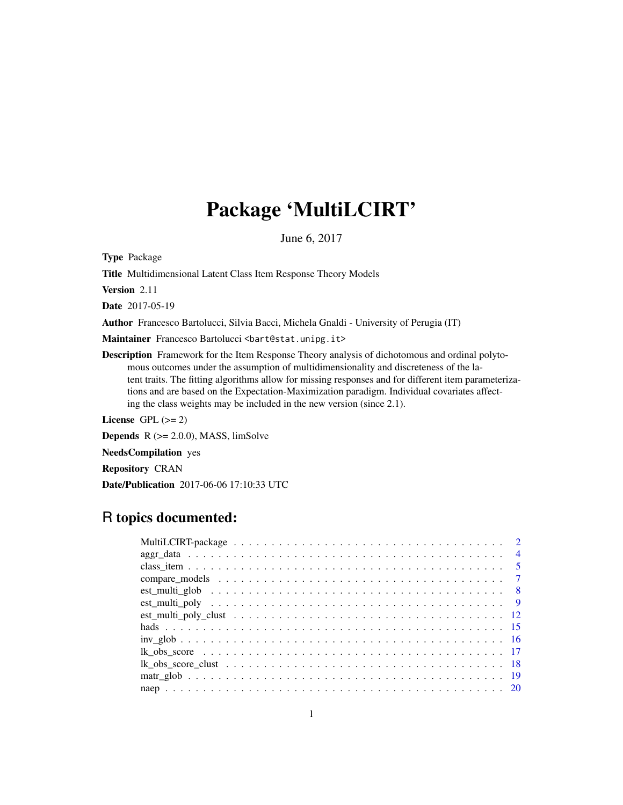# Package 'MultiLCIRT'

June 6, 2017

Type Package

Title Multidimensional Latent Class Item Response Theory Models

Version 2.11

Date 2017-05-19

Author Francesco Bartolucci, Silvia Bacci, Michela Gnaldi - University of Perugia (IT)

Maintainer Francesco Bartolucci <br/>bart@stat.unipg.it>

Description Framework for the Item Response Theory analysis of dichotomous and ordinal polytomous outcomes under the assumption of multidimensionality and discreteness of the latent traits. The fitting algorithms allow for missing responses and for different item parameterizations and are based on the Expectation-Maximization paradigm. Individual covariates affecting the class weights may be included in the new version (since 2.1).

License GPL  $(>= 2)$ 

**Depends**  $R$  ( $>= 2.0.0$ ), MASS, limSolve

NeedsCompilation yes

Repository CRAN

Date/Publication 2017-06-06 17:10:33 UTC

# R topics documented:

|  |  | $\overline{4}$ |
|--|--|----------------|
|  |  |                |
|  |  |                |
|  |  |                |
|  |  |                |
|  |  |                |
|  |  |                |
|  |  |                |
|  |  |                |
|  |  |                |
|  |  |                |
|  |  |                |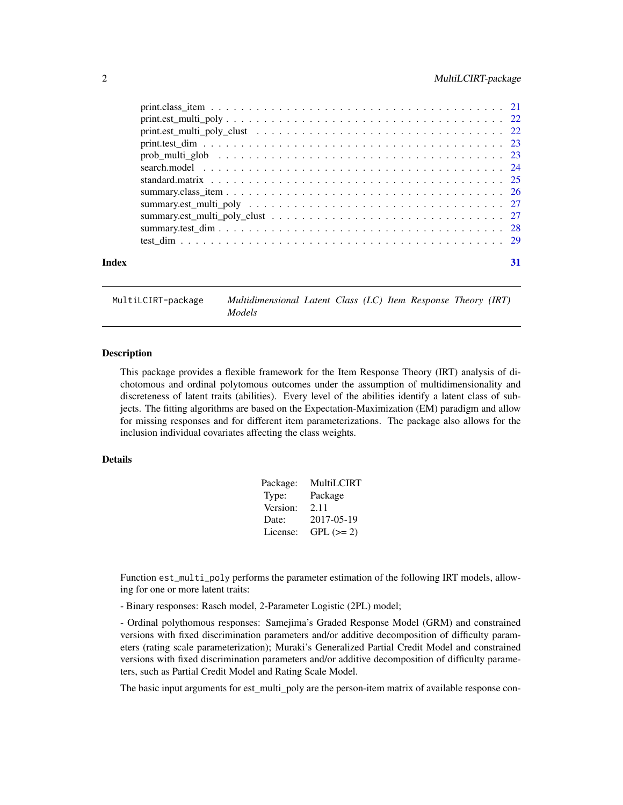<span id="page-1-0"></span>

| Index |  |
|-------|--|

MultiLCIRT-package *Multidimensional Latent Class (LC) Item Response Theory (IRT) Models*

#### Description

This package provides a flexible framework for the Item Response Theory (IRT) analysis of dichotomous and ordinal polytomous outcomes under the assumption of multidimensionality and discreteness of latent traits (abilities). Every level of the abilities identify a latent class of subjects. The fitting algorithms are based on the Expectation-Maximization (EM) paradigm and allow for missing responses and for different item parameterizations. The package also allows for the inclusion individual covariates affecting the class weights.

# Details

| Package: | MultiLCIRT |
|----------|------------|
| Type:    | Package    |
| Version: | 2.11       |
| Date:    | 2017-05-19 |
| License: | $GPL (=2)$ |

Function est\_multi\_poly performs the parameter estimation of the following IRT models, allowing for one or more latent traits:

- Binary responses: Rasch model, 2-Parameter Logistic (2PL) model;

- Ordinal polythomous responses: Samejima's Graded Response Model (GRM) and constrained versions with fixed discrimination parameters and/or additive decomposition of difficulty parameters (rating scale parameterization); Muraki's Generalized Partial Credit Model and constrained versions with fixed discrimination parameters and/or additive decomposition of difficulty parameters, such as Partial Credit Model and Rating Scale Model.

The basic input arguments for est\_multi\_poly are the person-item matrix of available response con-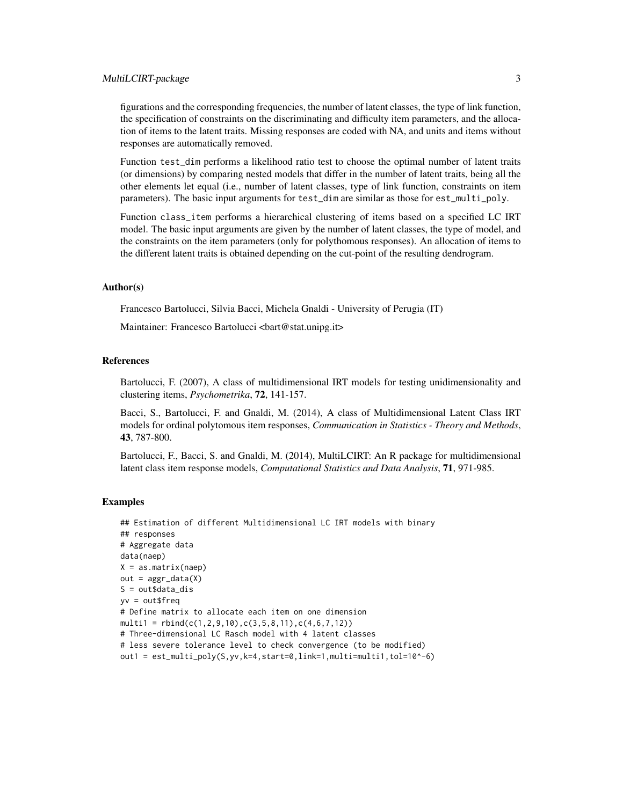# MultiLCIRT-package 3

figurations and the corresponding frequencies, the number of latent classes, the type of link function, the specification of constraints on the discriminating and difficulty item parameters, and the allocation of items to the latent traits. Missing responses are coded with NA, and units and items without responses are automatically removed.

Function test\_dim performs a likelihood ratio test to choose the optimal number of latent traits (or dimensions) by comparing nested models that differ in the number of latent traits, being all the other elements let equal (i.e., number of latent classes, type of link function, constraints on item parameters). The basic input arguments for test\_dim are similar as those for est\_multi\_poly.

Function class\_item performs a hierarchical clustering of items based on a specified LC IRT model. The basic input arguments are given by the number of latent classes, the type of model, and the constraints on the item parameters (only for polythomous responses). An allocation of items to the different latent traits is obtained depending on the cut-point of the resulting dendrogram.

#### Author(s)

Francesco Bartolucci, Silvia Bacci, Michela Gnaldi - University of Perugia (IT)

Maintainer: Francesco Bartolucci <br/> <br/>bart@stat.unipg.it>

#### References

Bartolucci, F. (2007), A class of multidimensional IRT models for testing unidimensionality and clustering items, *Psychometrika*, 72, 141-157.

Bacci, S., Bartolucci, F. and Gnaldi, M. (2014), A class of Multidimensional Latent Class IRT models for ordinal polytomous item responses, *Communication in Statistics - Theory and Methods*, 43, 787-800.

Bartolucci, F., Bacci, S. and Gnaldi, M. (2014), MultiLCIRT: An R package for multidimensional latent class item response models, *Computational Statistics and Data Analysis*, 71, 971-985.

#### Examples

```
## Estimation of different Multidimensional LC IRT models with binary
## responses
# Aggregate data
data(naep)
X = as.matrix(naep)
out = <math>aggr</math><sub>0</sub>data(X)S = out\dot{a}da
yv = out$freq
# Define matrix to allocate each item on one dimension
multi1 = rbind(c(1, 2, 9, 10), c(3, 5, 8, 11), c(4, 6, 7, 12))# Three-dimensional LC Rasch model with 4 latent classes
# less severe tolerance level to check convergence (to be modified)
out1 = est_multi_poly(S, yv, k=4, start=0, link=1, multi=multi1, tol=10^(-6))
```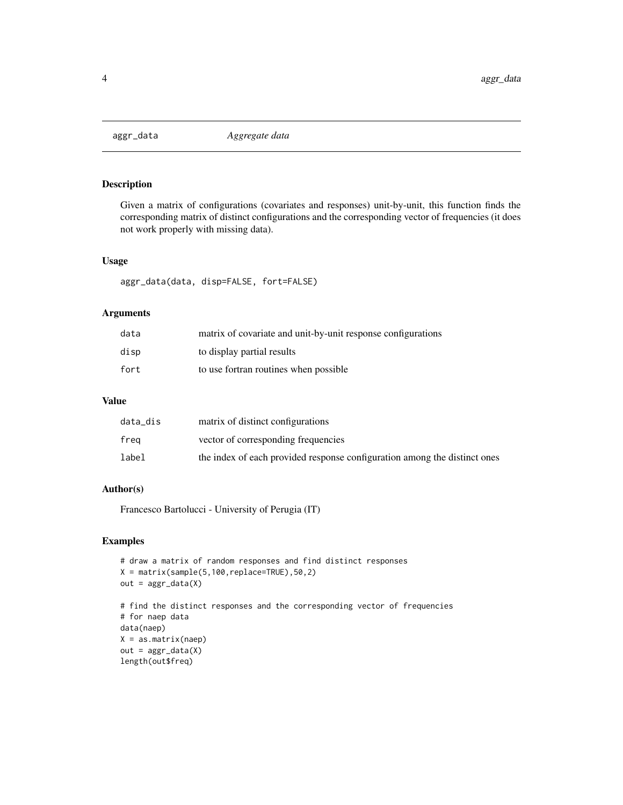<span id="page-3-0"></span>

# Description

Given a matrix of configurations (covariates and responses) unit-by-unit, this function finds the corresponding matrix of distinct configurations and the corresponding vector of frequencies (it does not work properly with missing data).

#### Usage

aggr\_data(data, disp=FALSE, fort=FALSE)

#### Arguments

| data | matrix of covariate and unit-by-unit response configurations |
|------|--------------------------------------------------------------|
| disp | to display partial results                                   |
| fort | to use fortran routines when possible                        |

#### Value

| data_dis | matrix of distinct configurations                                         |
|----------|---------------------------------------------------------------------------|
| frea     | vector of corresponding frequencies                                       |
| label    | the index of each provided response configuration among the distinct ones |

# Author(s)

Francesco Bartolucci - University of Perugia (IT)

# Examples

```
# draw a matrix of random responses and find distinct responses
X = matrix(sample(5,100,replace=TRUE),50,2)
out = <math>aggr\_data(X)</math># find the distinct responses and the corresponding vector of frequencies
# for naep data
data(naep)
X = as_matrix(naep)out = <math>aggr</math><sub>0</sub>data(X)length(out$freq)
```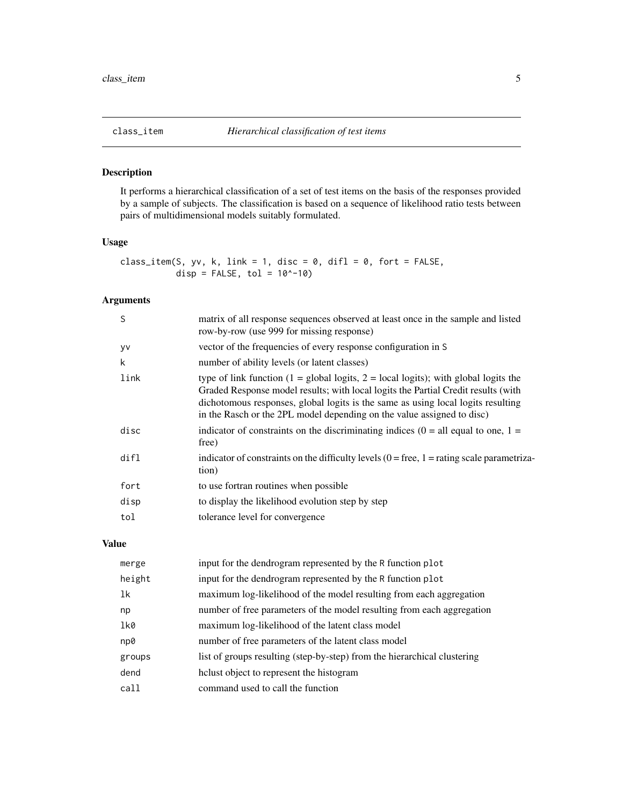<span id="page-4-0"></span>

# Description

It performs a hierarchical classification of a set of test items on the basis of the responses provided by a sample of subjects. The classification is based on a sequence of likelihood ratio tests between pairs of multidimensional models suitably formulated.

# Usage

class\_item(S, yv, k, link = 1, disc = 0, difl = 0, fort = FALSE, disp =  $FALSE, tol = 10^{\circ}-10)$ 

# Arguments

| S         | matrix of all response sequences observed at least once in the sample and listed<br>row-by-row (use 999 for missing response)                                                                                                                                                                                                                           |
|-----------|---------------------------------------------------------------------------------------------------------------------------------------------------------------------------------------------------------------------------------------------------------------------------------------------------------------------------------------------------------|
| <b>VV</b> | vector of the frequencies of every response configuration in S                                                                                                                                                                                                                                                                                          |
| k         | number of ability levels (or latent classes)                                                                                                                                                                                                                                                                                                            |
| link      | type of link function $(1 = \text{global logits}, 2 = \text{local logits})$ ; with global logits the<br>Graded Response model results; with local logits the Partial Credit results (with<br>dichotomous responses, global logits is the same as using local logits resulting<br>in the Rasch or the 2PL model depending on the value assigned to disc) |
| disc      | indicator of constraints on the discriminating indices $(0 = all equal to one, 1 =$<br>free)                                                                                                                                                                                                                                                            |
| dir1      | indicator of constraints on the difficulty levels $(0 = free, 1 = rating scale parametriza-$<br>tion)                                                                                                                                                                                                                                                   |
| fort      | to use fortran routines when possible                                                                                                                                                                                                                                                                                                                   |
| disp      | to display the likelihood evolution step by step                                                                                                                                                                                                                                                                                                        |
| tol       | tolerance level for convergence                                                                                                                                                                                                                                                                                                                         |
|           |                                                                                                                                                                                                                                                                                                                                                         |

# Value

| merge  | input for the dendrogram represented by the R function plot              |
|--------|--------------------------------------------------------------------------|
| height | input for the dendrogram represented by the R function plot              |
| 1k     | maximum log-likelihood of the model resulting from each aggregation      |
| np     | number of free parameters of the model resulting from each aggregation   |
| lk0    | maximum log-likelihood of the latent class model                         |
| np0    | number of free parameters of the latent class model                      |
| groups | list of groups resulting (step-by-step) from the hierarchical clustering |
| dend   | helust object to represent the histogram                                 |
| call   | command used to call the function                                        |
|        |                                                                          |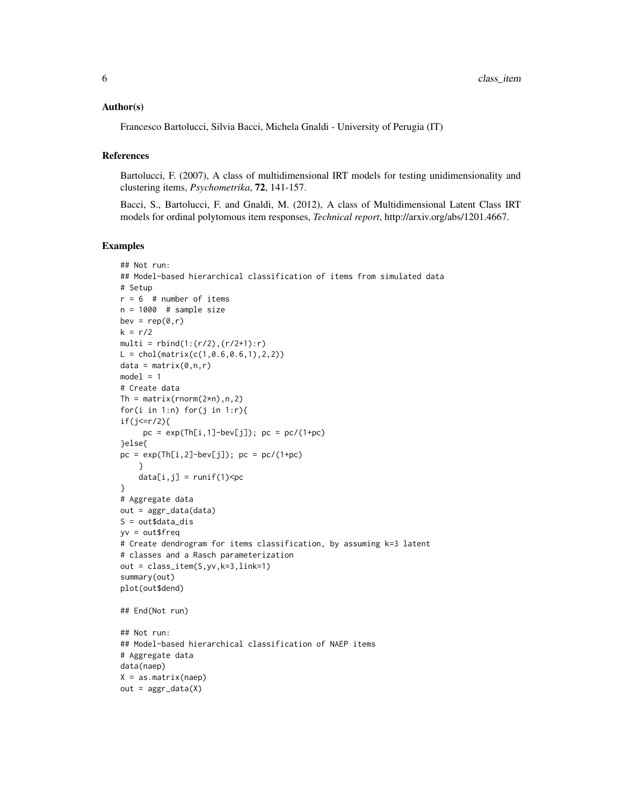#### Author(s)

Francesco Bartolucci, Silvia Bacci, Michela Gnaldi - University of Perugia (IT)

#### References

Bartolucci, F. (2007), A class of multidimensional IRT models for testing unidimensionality and clustering items, *Psychometrika*, 72, 141-157.

Bacci, S., Bartolucci, F. and Gnaldi, M. (2012), A class of Multidimensional Latent Class IRT models for ordinal polytomous item responses, *Technical report*, http://arxiv.org/abs/1201.4667.

#### Examples

```
## Not run:
## Model-based hierarchical classification of items from simulated data
# Setup
r = 6 # number of items
n = 1000 # sample size
bev = rep(0, r)k = r/2multi = rbind(1:(r/2),(r/2+1):r)L = chol(matrix(c(1, 0.6, 0.6, 1), 2, 2))data = matrix(0, n, r)model = 1# Create data
Th = matrix(rnorm(2*n),n,2)for(i in 1:n) for(j in 1:r){
if(i \leq r/2)pc = exp(Th[i, 1]-bev[j]); pc = pc/(1+pc)}else{
pc = exp(Th[i,2]-bev[j]); pc = pc/(1+pc)}
    data[i,j] = runif(1)}
# Aggregate data
out = aggr_data(data)
S = out\dot{a}ta\_dis
yv = out$freq
# Create dendrogram for items classification, by assuming k=3 latent
# classes and a Rasch parameterization
out = class_item(S,yv,k=3,link=1)
summary(out)
plot(out$dend)
## End(Not run)
## Not run:
## Model-based hierarchical classification of NAEP items
# Aggregate data
data(naep)
X = as_matrix(naep)out = <math>aggr\_data(X)</math>
```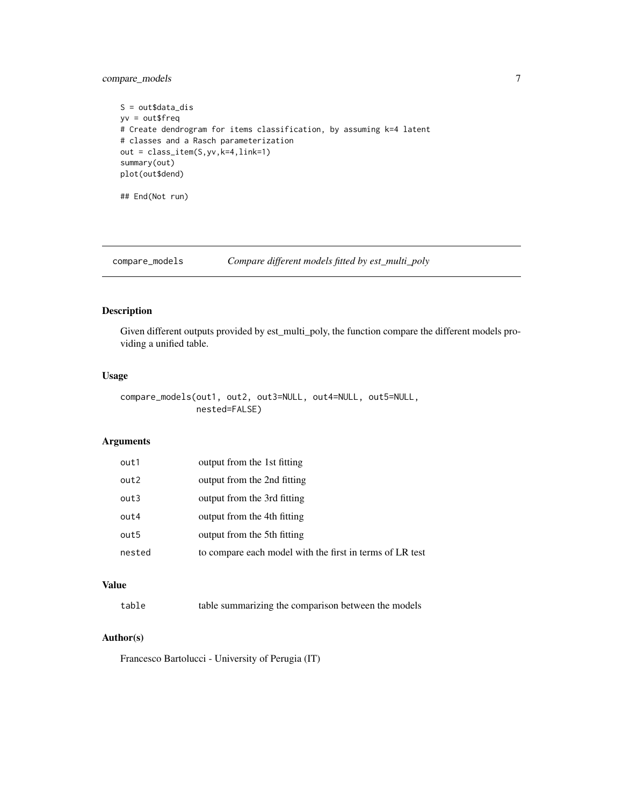<span id="page-6-0"></span>compare\_models 7

```
S = out\dot{a}ta\_dis
yv = out$freq
# Create dendrogram for items classification, by assuming k=4 latent
# classes and a Rasch parameterization
out = class_item(S,yv,k=4,link=1)
summary(out)
plot(out$dend)
```
## End(Not run)

compare\_models *Compare different models fitted by est\_multi\_poly*

# Description

Given different outputs provided by est\_multi\_poly, the function compare the different models providing a unified table.

#### Usage

```
compare_models(out1, out2, out3=NULL, out4=NULL, out5=NULL,
              nested=FALSE)
```
# Arguments

| out1   | output from the 1st fitting                              |
|--------|----------------------------------------------------------|
| out2   | output from the 2nd fitting                              |
| out3   | output from the 3rd fitting                              |
| out4   | output from the 4th fitting                              |
| out5   | output from the 5th fitting                              |
| nested | to compare each model with the first in terms of LR test |

#### Value

| table | table summarizing the comparison between the models |  |  |  |  |  |
|-------|-----------------------------------------------------|--|--|--|--|--|
|-------|-----------------------------------------------------|--|--|--|--|--|

# Author(s)

Francesco Bartolucci - University of Perugia (IT)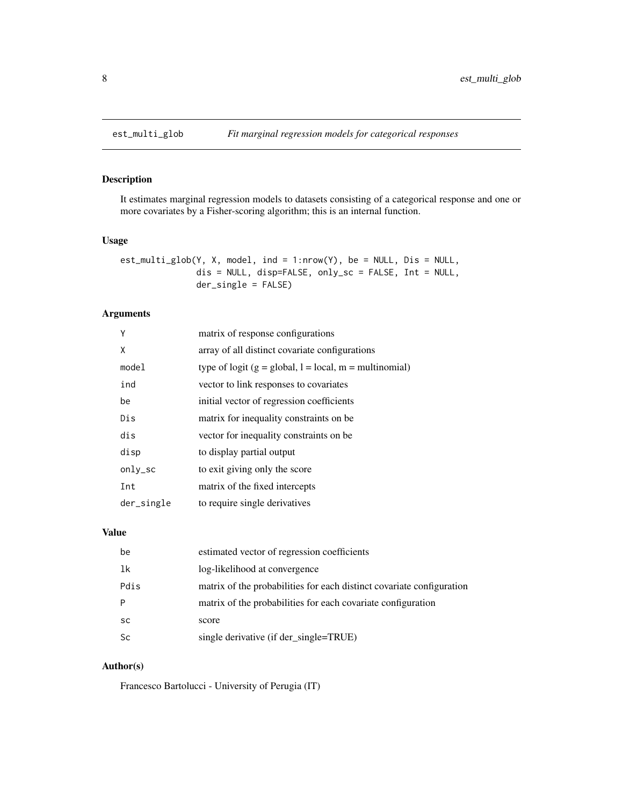<span id="page-7-0"></span>

#### Description

It estimates marginal regression models to datasets consisting of a categorical response and one or more covariates by a Fisher-scoring algorithm; this is an internal function.

#### Usage

```
est_multi_glob(Y, X, model, ind = 1:nrow(Y), be = NULL, Dis = NULL,
               dis = NULL, disp=FALSE, only_sc = FALSE, Int = NULL,
               der_single = FALSE)
```
# Arguments

| Υ          | matrix of response configurations                        |
|------------|----------------------------------------------------------|
| X          | array of all distinct covariate configurations           |
| mode1      | type of logit $(g = global, l = local, m = multinomial)$ |
| ind        | vector to link responses to covariates                   |
| be         | initial vector of regression coefficients                |
| Dis        | matrix for inequality constraints on be.                 |
| dis        | vector for inequality constraints on be.                 |
| disp       | to display partial output                                |
| only_sc    | to exit giving only the score                            |
| Int        | matrix of the fixed intercepts                           |
| der_single | to require single derivatives                            |

# Value

| be        | estimated vector of regression coefficients                           |
|-----------|-----------------------------------------------------------------------|
| 1k        | log-likelihood at convergence                                         |
| Pdis      | matrix of the probabilities for each distinct covariate configuration |
| P         | matrix of the probabilities for each covariate configuration          |
| <b>SC</b> | score                                                                 |
| <b>Sc</b> | single derivative (if der_single=TRUE)                                |

### Author(s)

Francesco Bartolucci - University of Perugia (IT)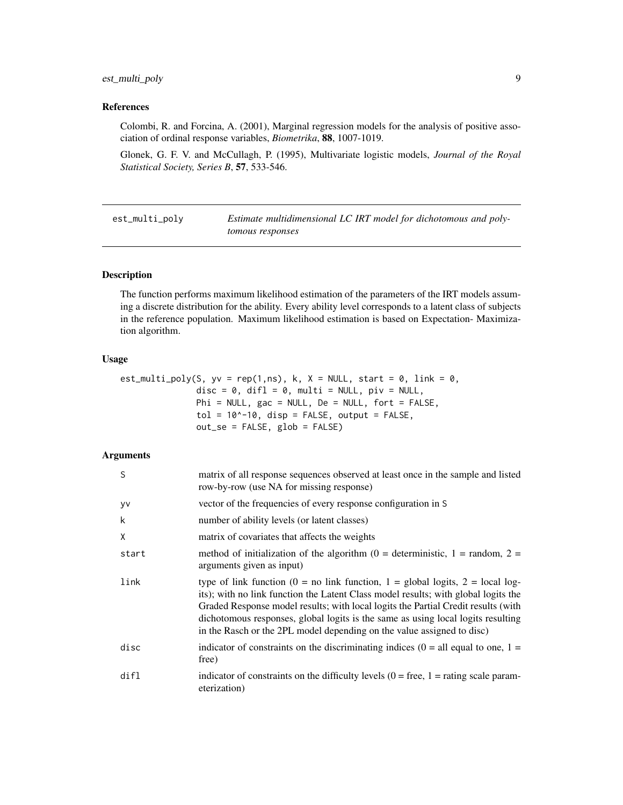# <span id="page-8-0"></span>est\_multi\_poly 9

## References

Colombi, R. and Forcina, A. (2001), Marginal regression models for the analysis of positive association of ordinal response variables, *Biometrika*, 88, 1007-1019.

Glonek, G. F. V. and McCullagh, P. (1995), Multivariate logistic models, *Journal of the Royal Statistical Society, Series B*, 57, 533-546.

est\_multi\_poly *Estimate multidimensional LC IRT model for dichotomous and polytomous responses*

# Description

The function performs maximum likelihood estimation of the parameters of the IRT models assuming a discrete distribution for the ability. Every ability level corresponds to a latent class of subjects in the reference population. Maximum likelihood estimation is based on Expectation- Maximization algorithm.

#### Usage

| est_multi_poly(S, yv = rep(1,ns), k, X = NULL, start = 0, link = 0, |
|---------------------------------------------------------------------|
| $disc = 0$ , $diff = 0$ , multi = NULL, $piv = NULL$ ,              |
| $Phi = NULL$ , gac = NULL, De = NULL, fort = FALSE,                 |
| $tol = 10^{\circ} - 10$ , disp = FALSE, output = FALSE,             |
| $out\_se = FALSE, glob = FALSE)$                                    |

| S         | matrix of all response sequences observed at least once in the sample and listed<br>row-by-row (use NA for missing response)                                                                                                                                                                                                                                                                                            |
|-----------|-------------------------------------------------------------------------------------------------------------------------------------------------------------------------------------------------------------------------------------------------------------------------------------------------------------------------------------------------------------------------------------------------------------------------|
| <b>VV</b> | vector of the frequencies of every response configuration in S                                                                                                                                                                                                                                                                                                                                                          |
| k         | number of ability levels (or latent classes)                                                                                                                                                                                                                                                                                                                                                                            |
| X         | matrix of covariates that affects the weights                                                                                                                                                                                                                                                                                                                                                                           |
| start     | method of initialization of the algorithm $(0 =$ deterministic, $1 =$ random, $2 =$<br>arguments given as input)                                                                                                                                                                                                                                                                                                        |
| link      | type of link function (0 = no link function, 1 = global logits, 2 = local log-<br>its); with no link function the Latent Class model results; with global logits the<br>Graded Response model results; with local logits the Partial Credit results (with<br>dichotomous responses, global logits is the same as using local logits resulting<br>in the Rasch or the 2PL model depending on the value assigned to disc) |
| disc      | indicator of constraints on the discriminating indices $(0 = all equal to one, 1 =$<br>free)                                                                                                                                                                                                                                                                                                                            |
| dir1      | indicator of constraints on the difficulty levels $(0 = free, 1 = rating scale param-$<br>eterization)                                                                                                                                                                                                                                                                                                                  |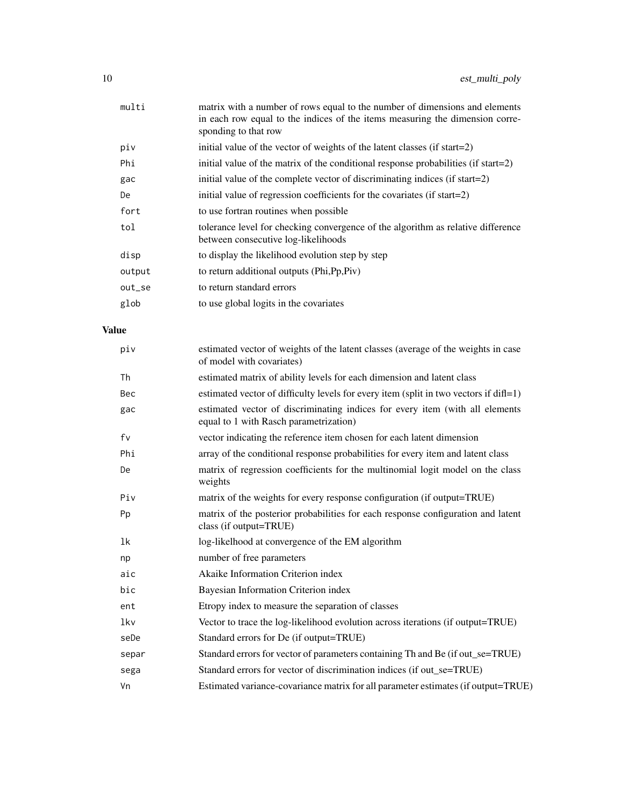| multi  | matrix with a number of rows equal to the number of dimensions and elements<br>in each row equal to the indices of the items measuring the dimension corre-<br>sponding to that row |
|--------|-------------------------------------------------------------------------------------------------------------------------------------------------------------------------------------|
| piv    | initial value of the vector of weights of the latent classes (if start=2)                                                                                                           |
| Phi    | initial value of the matrix of the conditional response probabilities (if start=2)                                                                                                  |
| gac    | initial value of the complete vector of discriminating indices (if start=2)                                                                                                         |
| De     | initial value of regression coefficients for the covariates (if start=2)                                                                                                            |
| fort   | to use fortran routines when possible                                                                                                                                               |
| tol    | tolerance level for checking convergence of the algorithm as relative difference<br>between consecutive log-likelihoods                                                             |
| disp   | to display the likelihood evolution step by step                                                                                                                                    |
| output | to return additional outputs (Phi, Pp, Piv)                                                                                                                                         |
| out_se | to return standard errors                                                                                                                                                           |
| glob   | to use global logits in the covariates                                                                                                                                              |
|        |                                                                                                                                                                                     |

# Value

| piv   | estimated vector of weights of the latent classes (average of the weights in case<br>of model with covariates)         |
|-------|------------------------------------------------------------------------------------------------------------------------|
| Th    | estimated matrix of ability levels for each dimension and latent class                                                 |
| Bec   | estimated vector of difficulty levels for every item (split in two vectors if diff=1)                                  |
| gac   | estimated vector of discriminating indices for every item (with all elements<br>equal to 1 with Rasch parametrization) |
| fv    | vector indicating the reference item chosen for each latent dimension                                                  |
| Phi   | array of the conditional response probabilities for every item and latent class                                        |
| De    | matrix of regression coefficients for the multinomial logit model on the class<br>weights                              |
| Piv   | matrix of the weights for every response configuration (if output=TRUE)                                                |
| Pp    | matrix of the posterior probabilities for each response configuration and latent<br>class (if output=TRUE)             |
| 1k    | log-likelhood at convergence of the EM algorithm                                                                       |
| np    | number of free parameters                                                                                              |
| aic   | Akaike Information Criterion index                                                                                     |
| bic   | Bayesian Information Criterion index                                                                                   |
| ent   | Etropy index to measure the separation of classes                                                                      |
| lkv   | Vector to trace the log-likelihood evolution across iterations (if output=TRUE)                                        |
| seDe  | Standard errors for De (if output=TRUE)                                                                                |
| separ | Standard errors for vector of parameters containing Th and Be (if out_se=TRUE)                                         |
| sega  | Standard errors for vector of discrimination indices (if out se=TRUE)                                                  |
| Vn    | Estimated variance-covariance matrix for all parameter estimates (if output=TRUE)                                      |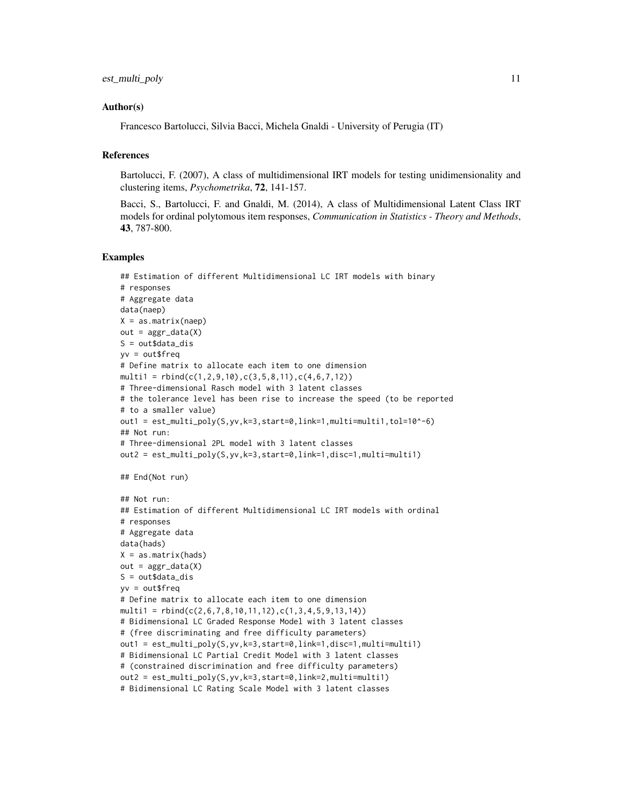#### Author(s)

Francesco Bartolucci, Silvia Bacci, Michela Gnaldi - University of Perugia (IT)

#### References

Bartolucci, F. (2007), A class of multidimensional IRT models for testing unidimensionality and clustering items, *Psychometrika*, 72, 141-157.

Bacci, S., Bartolucci, F. and Gnaldi, M. (2014), A class of Multidimensional Latent Class IRT models for ordinal polytomous item responses, *Communication in Statistics - Theory and Methods*, 43, 787-800.

#### Examples

```
## Estimation of different Multidimensional LC IRT models with binary
# responses
# Aggregate data
data(naep)
X = as_matrix(naep)out = <math>aggr</math><sub>0</sub>data(X)S = out\dot{a}ta\_dis
yv = out$freq
# Define matrix to allocate each item to one dimension
multi1 = rbind(c(1, 2, 9, 10), c(3, 5, 8, 11), c(4, 6, 7, 12))# Three-dimensional Rasch model with 3 latent classes
# the tolerance level has been rise to increase the speed (to be reported
# to a smaller value)
out1 = est_multi_poly(S, yv, k=3, start=0, link=1, multi=multi1, tol=10^(-6))## Not run:
# Three-dimensional 2PL model with 3 latent classes
out2 = est_multi_poly(S,yv,k=3,start=0,link=1,disc=1,multi=multi1)
## End(Not run)
## Not run:
## Estimation of different Multidimensional LC IRT models with ordinal
# responses
# Aggregate data
data(hads)
X = as_matrix(hads)out = <math>aggr\_data(X)</math>S = out\dot{a}ta\_dis
yv = out$freq
# Define matrix to allocate each item to one dimension
multi1 = rbind(c(2,6,7,8,10,11,12),c(1,3,4,5,9,13,14))# Bidimensional LC Graded Response Model with 3 latent classes
# (free discriminating and free difficulty parameters)
out1 = est_multi_poly(S,yv,k=3,start=0,link=1,disc=1,multi=multi1)
# Bidimensional LC Partial Credit Model with 3 latent classes
# (constrained discrimination and free difficulty parameters)
out2 = est_multi_poly(S,yv,k=3,start=0,link=2,multi=multi1)
# Bidimensional LC Rating Scale Model with 3 latent classes
```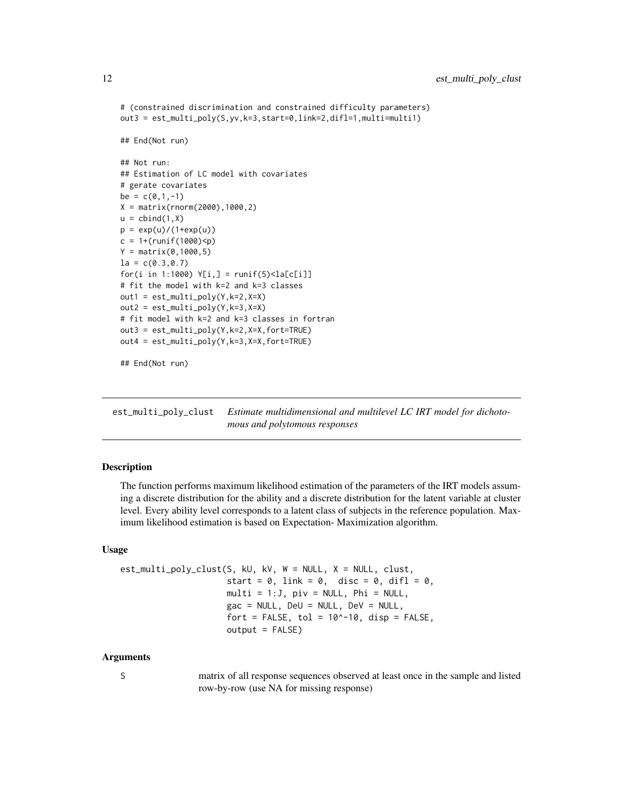```
# (constrained discrimination and constrained difficulty parameters)
out3 = est_multi_poly(S,yv,k=3,start=0,link=2,difl=1,multi=multi1)
## End(Not run)
## Not run:
## Estimation of LC model with covariates
# gerate covariates
be = c(0, 1, -1)X = matrix(rnorm(2000),1000,2)
u = \text{cbind}(1, X)p = exp(u)/(1+exp(u))c = 1 + (runif(1000) < p)Y = matrix(0, 1000, 5)la = c(0.3, 0.7)for(i in 1:1000) Y[i,] = runif(5) <la[c[i]]
# fit the model with k=2 and k=3 classes
out1 = est_multi_poly(Y,k=2,X=X)
out2 = est_multi_poly(Y,k=3,X=X)
# fit model with k=2 and k=3 classes in fortran
out3 = est_multi_poly(Y,k=2,X=X,fort=TRUE)
out4 = est_multi_poly(Y,k=3,X=X,fort=TRUE)
## End(Not run)
```
est\_multi\_poly\_clust *Estimate multidimensional and multilevel LC IRT model for dichotomous and polytomous responses*

#### **Description**

The function performs maximum likelihood estimation of the parameters of the IRT models assuming a discrete distribution for the ability and a discrete distribution for the latent variable at cluster level. Every ability level corresponds to a latent class of subjects in the reference population. Maximum likelihood estimation is based on Expectation- Maximization algorithm.

#### Usage

```
est_multi_poly_clust(S, kU, kV, W = NULL, X = NULL, clust,
                       start = 0, link = 0, disc = 0, difl = 0,
                       multi = 1:J, piv = NULL, Phi = NULL,
                       \text{gac} = \text{NULL}, DeU = NULL, DeV = NULL,
                       fort = FALSE, tol = 10^{\circ}-10, disp = FALSE,
                       output = FALSE)
```
#### Arguments

S matrix of all response sequences observed at least once in the sample and listed row-by-row (use NA for missing response)

<span id="page-11-0"></span>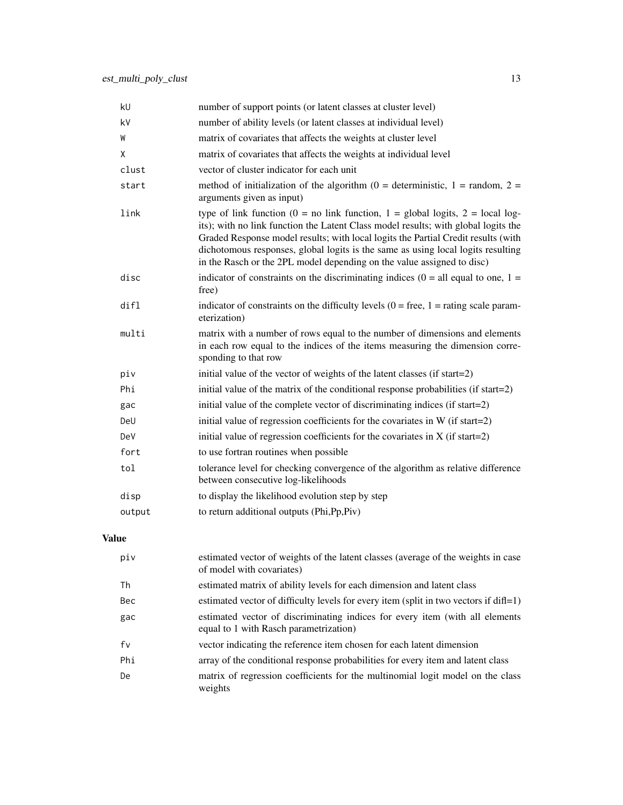| kU     | number of support points (or latent classes at cluster level)                                                                                                                                                                                                                                                                                                                                                           |
|--------|-------------------------------------------------------------------------------------------------------------------------------------------------------------------------------------------------------------------------------------------------------------------------------------------------------------------------------------------------------------------------------------------------------------------------|
| k٧     | number of ability levels (or latent classes at individual level)                                                                                                                                                                                                                                                                                                                                                        |
| W      | matrix of covariates that affects the weights at cluster level                                                                                                                                                                                                                                                                                                                                                          |
| X      | matrix of covariates that affects the weights at individual level                                                                                                                                                                                                                                                                                                                                                       |
| clust  | vector of cluster indicator for each unit                                                                                                                                                                                                                                                                                                                                                                               |
| start  | method of initialization of the algorithm ( $0 =$ deterministic, $1 =$ random, $2 =$<br>arguments given as input)                                                                                                                                                                                                                                                                                                       |
| link   | type of link function (0 = no link function, 1 = global logits, 2 = local log-<br>its); with no link function the Latent Class model results; with global logits the<br>Graded Response model results; with local logits the Partial Credit results (with<br>dichotomous responses, global logits is the same as using local logits resulting<br>in the Rasch or the 2PL model depending on the value assigned to disc) |
| disc   | indicator of constraints on the discriminating indices ( $0 =$ all equal to one, $1 =$<br>free)                                                                                                                                                                                                                                                                                                                         |
| difl   | indicator of constraints on the difficulty levels $(0 = free, 1 = rating scale param-$<br>eterization)                                                                                                                                                                                                                                                                                                                  |
| multi  | matrix with a number of rows equal to the number of dimensions and elements<br>in each row equal to the indices of the items measuring the dimension corre-<br>sponding to that row                                                                                                                                                                                                                                     |
| piv    | initial value of the vector of weights of the latent classes (if start=2)                                                                                                                                                                                                                                                                                                                                               |
| Phi    | initial value of the matrix of the conditional response probabilities (if start=2)                                                                                                                                                                                                                                                                                                                                      |
| gac    | initial value of the complete vector of discriminating indices (if start=2)                                                                                                                                                                                                                                                                                                                                             |
| DeU    | initial value of regression coefficients for the covariates in W (if start=2)                                                                                                                                                                                                                                                                                                                                           |
| DeV    | initial value of regression coefficients for the covariates in $X$ (if start=2)                                                                                                                                                                                                                                                                                                                                         |
| fort   | to use fortran routines when possible                                                                                                                                                                                                                                                                                                                                                                                   |
| tol    | tolerance level for checking convergence of the algorithm as relative difference<br>between consecutive log-likelihoods                                                                                                                                                                                                                                                                                                 |
| disp   | to display the likelihood evolution step by step                                                                                                                                                                                                                                                                                                                                                                        |
| output | to return additional outputs (Phi, Pp, Piv)                                                                                                                                                                                                                                                                                                                                                                             |

# Value

| piv | estimated vector of weights of the latent classes (average of the weights in case<br>of model with covariates)         |
|-----|------------------------------------------------------------------------------------------------------------------------|
| Th  | estimated matrix of ability levels for each dimension and latent class                                                 |
| Bec | estimated vector of difficulty levels for every item (split in two vectors if $diff=1$ )                               |
| gac | estimated vector of discriminating indices for every item (with all elements<br>equal to 1 with Rasch parametrization) |
| fv  | vector indicating the reference item chosen for each latent dimension                                                  |
| Phi | array of the conditional response probabilities for every item and latent class                                        |
| De  | matrix of regression coefficients for the multinomial logit model on the class<br>weights                              |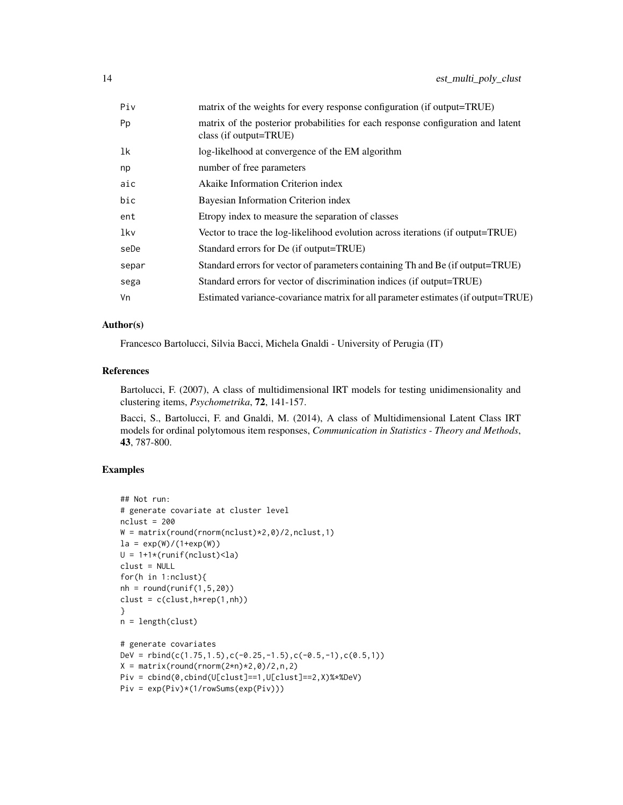| Piv   | matrix of the weights for every response configuration (if output=TRUE)                                    |
|-------|------------------------------------------------------------------------------------------------------------|
| Pp    | matrix of the posterior probabilities for each response configuration and latent<br>class (if output=TRUE) |
| 1k    | log-likelhood at convergence of the EM algorithm                                                           |
| np    | number of free parameters                                                                                  |
| aic   | Akaike Information Criterion index                                                                         |
| bic   | Bayesian Information Criterion index                                                                       |
| ent   | Etropy index to measure the separation of classes                                                          |
| lkv   | Vector to trace the log-likelihood evolution across iterations (if output=TRUE)                            |
| seDe  | Standard errors for De (if output=TRUE)                                                                    |
| separ | Standard errors for vector of parameters containing Th and Be (if output=TRUE)                             |
| sega  | Standard errors for vector of discrimination indices (if output=TRUE)                                      |
| ٧n    | Estimated variance-covariance matrix for all parameter estimates (if output=TRUE)                          |
|       |                                                                                                            |

#### Author(s)

Francesco Bartolucci, Silvia Bacci, Michela Gnaldi - University of Perugia (IT)

#### References

Bartolucci, F. (2007), A class of multidimensional IRT models for testing unidimensionality and clustering items, *Psychometrika*, 72, 141-157.

Bacci, S., Bartolucci, F. and Gnaldi, M. (2014), A class of Multidimensional Latent Class IRT models for ordinal polytomous item responses, *Communication in Statistics - Theory and Methods*, 43, 787-800.

#### Examples

```
## Not run:
# generate covariate at cluster level
nclust = 200
W = matrix(round(rnorm(nclust)*2,0)/2,nclust,1)la = \exp(W) / (1 + exp(W))U = 1+1*(runif(nclust)\langle la)clust = NULL
for(h in 1:nclust){
nh = round(runif(1,5,20))clust = c(clust,h*rep(1,nh))}
n = length(clust)
# generate covariates
DeV = rbind(c(1.75, 1.5), c(-0.25, -1.5), c(-0.5, -1), c(0.5, 1))X = matrix(round(rnorm(2*n)*2,0)/2,n,2)Piv = cbind(0,cbind(U[clust]==1,U[clust]==2,X)%*%DeV)
Piv = exp(Piv)*(1/rowSums(exp(Piv)))
```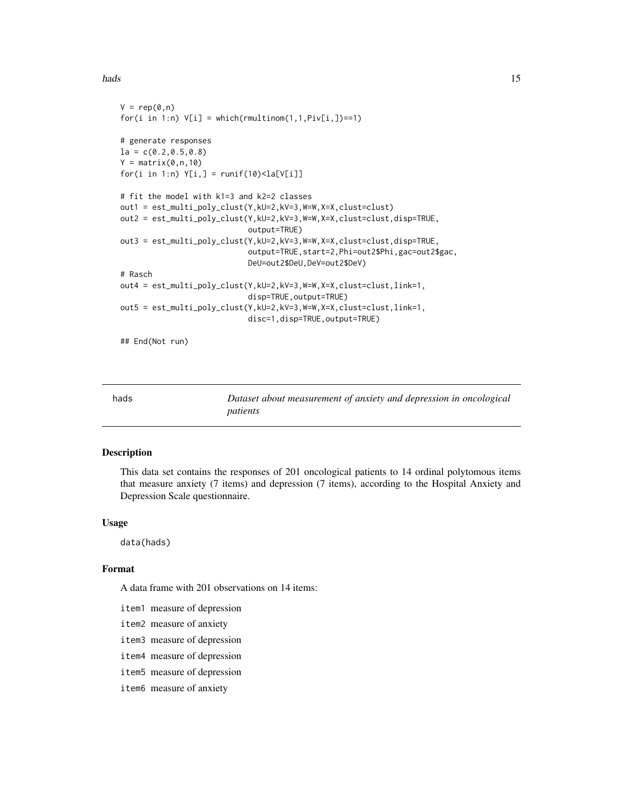#### <span id="page-14-0"></span>hads and the contract of the contract of the contract of the contract of the contract of the contract of the contract of the contract of the contract of the contract of the contract of the contract of the contract of the c

```
V = rep(0, n)for(i in 1:n) V[i] = which(rmultinom(1,1,Piv[i,])==1)
# generate responses
la = c(0.2, 0.5, 0.8)Y = matrix(0, n, 10)for(i in 1:n) Y[i,] = runif(10) < la[V[i]]# fit the model with k1=3 and k2=2 classes
out1 = est_multi_poly_clust(Y,kU=2,kV=3,W=W,X=X,clust=clust)
out2 = est_multi_poly_clust(Y,kU=2,kV=3,W=W,X=X,clust=clust,disp=TRUE,
                            output=TRUE)
out3 = est_multi_poly_clust(Y,kU=2,kV=3,W=W,X=X,clust=clust,disp=TRUE,
                            output=TRUE,start=2,Phi=out2$Phi,gac=out2$gac,
                            DeU=out2$DeU,DeV=out2$DeV)
# Rasch
out4 = est_multi_poly_clust(Y,kU=2,kV=3,W=W,X=X,clust=clust,link=1,
                            disp=TRUE,output=TRUE)
out5 = est_multi_poly_clust(Y,kU=2,kV=3,W=W,X=X,clust=clust,link=1,
                            disc=1,disp=TRUE,output=TRUE)
## End(Not run)
```
hads *Dataset about measurement of anxiety and depression in oncological patients*

#### Description

This data set contains the responses of 201 oncological patients to 14 ordinal polytomous items that measure anxiety (7 items) and depression (7 items), according to the Hospital Anxiety and Depression Scale questionnaire.

#### Usage

data(hads)

#### Format

A data frame with 201 observations on 14 items:

- item1 measure of depression
- item2 measure of anxiety
- item3 measure of depression
- item4 measure of depression
- item5 measure of depression
- item6 measure of anxiety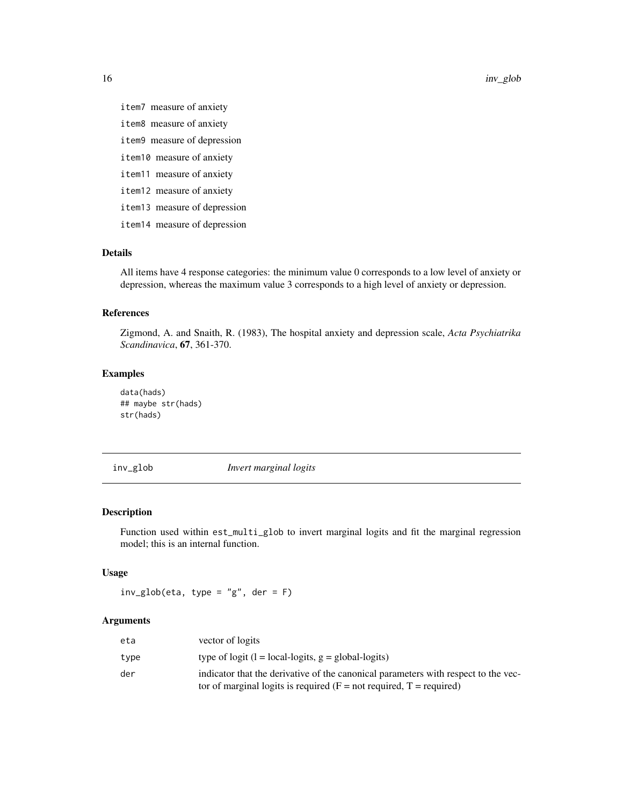item7 measure of anxiety

- item8 measure of anxiety
- item9 measure of depression
- item10 measure of anxiety
- item11 measure of anxiety
- item12 measure of anxiety
- item13 measure of depression
- item14 measure of depression

#### Details

All items have 4 response categories: the minimum value 0 corresponds to a low level of anxiety or depression, whereas the maximum value 3 corresponds to a high level of anxiety or depression.

#### References

Zigmond, A. and Snaith, R. (1983), The hospital anxiety and depression scale, *Acta Psychiatrika Scandinavica*, 67, 361-370.

#### Examples

data(hads) ## maybe str(hads) str(hads)

inv\_glob *Invert marginal logits*

#### Description

Function used within est\_multi\_glob to invert marginal logits and fit the marginal regression model; this is an internal function.

#### Usage

 $inv_glob(\text{eta}, \text{type} = "g", \text{der} = F)$ 

| eta  | vector of logits                                                                                                                                                 |
|------|------------------------------------------------------------------------------------------------------------------------------------------------------------------|
| type | type of logit $(l = local-logits, g = global-logits)$                                                                                                            |
| der  | indicator that the derivative of the canonical parameters with respect to the vec-<br>tor of marginal logits is required ( $F = not required$ , $T = required$ ) |

<span id="page-15-0"></span>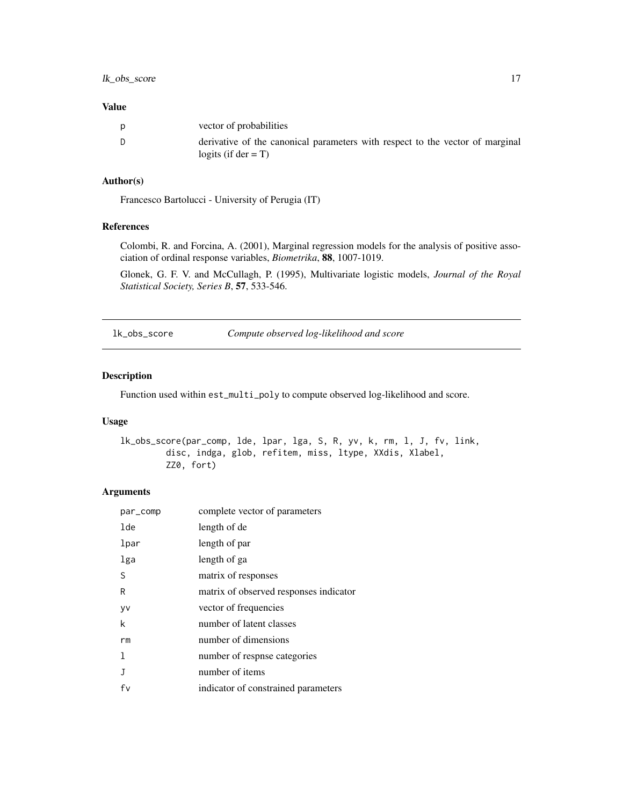#### <span id="page-16-0"></span>Value

| D | vector of probabilities                                                                                 |
|---|---------------------------------------------------------------------------------------------------------|
|   | derivative of the canonical parameters with respect to the vector of marginal<br>logits (if $der = T$ ) |

# Author(s)

Francesco Bartolucci - University of Perugia (IT)

# References

Colombi, R. and Forcina, A. (2001), Marginal regression models for the analysis of positive association of ordinal response variables, *Biometrika*, 88, 1007-1019.

Glonek, G. F. V. and McCullagh, P. (1995), Multivariate logistic models, *Journal of the Royal Statistical Society, Series B*, 57, 533-546.

lk\_obs\_score *Compute observed log-likelihood and score*

#### Description

Function used within est\_multi\_poly to compute observed log-likelihood and score.

#### Usage

```
lk_obs_score(par_comp, lde, lpar, lga, S, R, yv, k, rm, l, J, fv, link,
        disc, indga, glob, refitem, miss, ltype, XXdis, Xlabel,
        ZZ0, fort)
```

| par_comp | complete vector of parameters          |
|----------|----------------------------------------|
| lde      | length of de                           |
| lpar     | length of par                          |
| lga      | length of ga                           |
| S        | matrix of responses                    |
| R        | matrix of observed responses indicator |
| yv       | vector of frequencies                  |
| k        | number of latent classes               |
| rm       | number of dimensions                   |
| 1        | number of respise categories           |
| J        | number of items                        |
| fv       | indicator of constrained parameters    |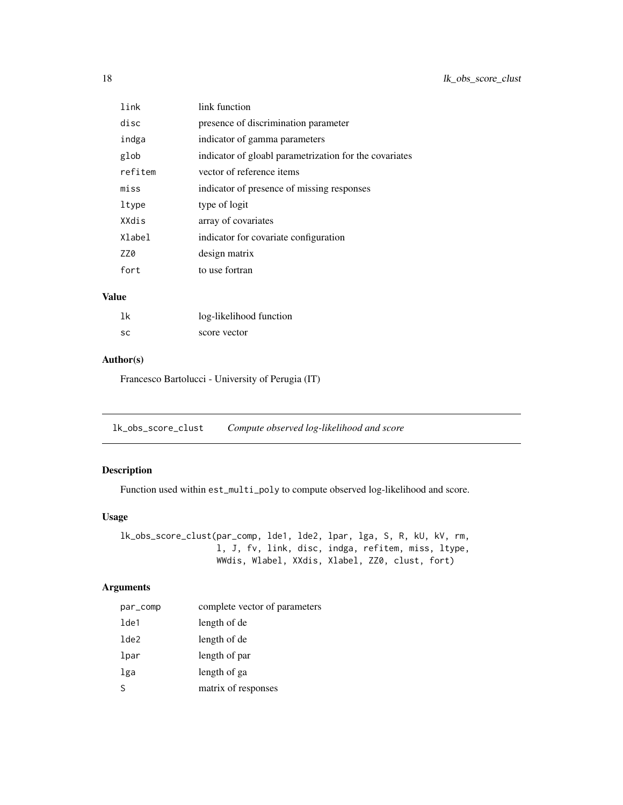<span id="page-17-0"></span>

| link    | link function                                          |
|---------|--------------------------------------------------------|
| disc    | presence of discrimination parameter                   |
| indga   | indicator of gamma parameters                          |
| glob    | indicator of gloabl parametrization for the covariates |
| refitem | vector of reference items                              |
| miss    | indicator of presence of missing responses             |
| ltype   | type of logit                                          |
| XXdis   | array of covariates                                    |
| Xlabel  | indicator for covariate configuration                  |
| ZZ0     | design matrix                                          |
| fort    | to use fortran                                         |

# Value

| 1k | log-likelihood function |
|----|-------------------------|
| SC | score vector            |

#### Author(s)

Francesco Bartolucci - University of Perugia (IT)

lk\_obs\_score\_clust *Compute observed log-likelihood and score*

# Description

Function used within est\_multi\_poly to compute observed log-likelihood and score.

# Usage

lk\_obs\_score\_clust(par\_comp, lde1, lde2, lpar, lga, S, R, kU, kV, rm, l, J, fv, link, disc, indga, refitem, miss, ltype, WWdis, Wlabel, XXdis, Xlabel, ZZ0, clust, fort)

| par_comp         | complete vector of parameters |
|------------------|-------------------------------|
| lde1             | length of de                  |
| 1 <sub>de2</sub> | length of de                  |
| lpar             | length of par                 |
| lga              | length of ga                  |
| <sub>S</sub>     | matrix of responses           |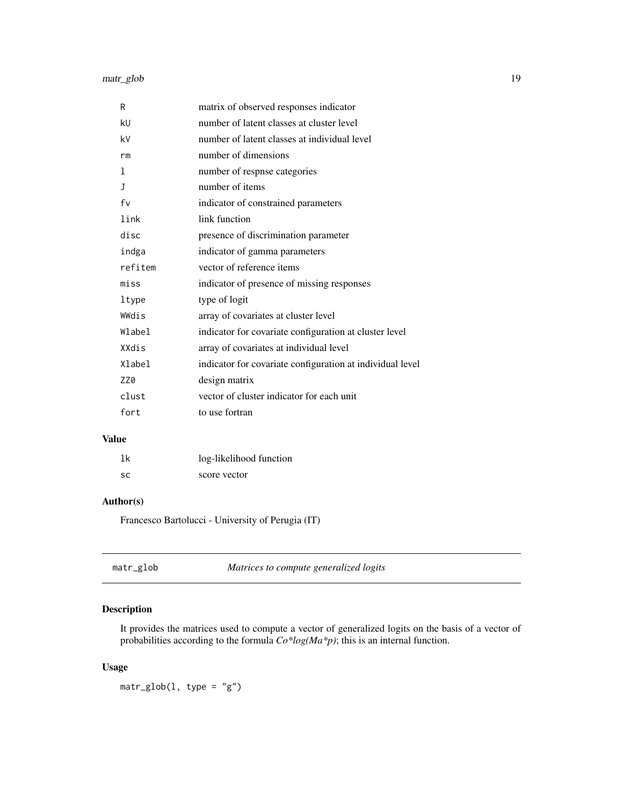# <span id="page-18-0"></span>matr\_glob 19

| R            | matrix of observed responses indicator                    |
|--------------|-----------------------------------------------------------|
| kU           | number of latent classes at cluster level                 |
| k٧           | number of latent classes at individual level              |
| rm           | number of dimensions                                      |
| 1            | number of respnse categories                              |
| $\mathbf{J}$ | number of items                                           |
| fv           | indicator of constrained parameters                       |
| link         | link function                                             |
| disc         | presence of discrimination parameter                      |
| indga        | indicator of gamma parameters                             |
| refitem      | vector of reference items                                 |
| miss         | indicator of presence of missing responses                |
| ltype        | type of logit                                             |
| WWdis        | array of covariates at cluster level                      |
| Wlabel       | indicator for covariate configuration at cluster level    |
| XXdis        | array of covariates at individual level                   |
| Xlabel       | indicator for covariate configuration at individual level |
| ZZ0          | design matrix                                             |
| clust        | vector of cluster indicator for each unit                 |
| fort         | to use fortran                                            |

# Value

| 1k | log-likelihood function |
|----|-------------------------|
| SC | score vector            |

# Author(s)

Francesco Bartolucci - University of Perugia (IT)

| matr_glob | Matrices to compute generalized logits |
|-----------|----------------------------------------|
|-----------|----------------------------------------|

# Description

It provides the matrices used to compute a vector of generalized logits on the basis of a vector of probabilities according to the formula *Co\*log(Ma\*p)*; this is an internal function.

# Usage

 $matrix_glob(1, type = "g")$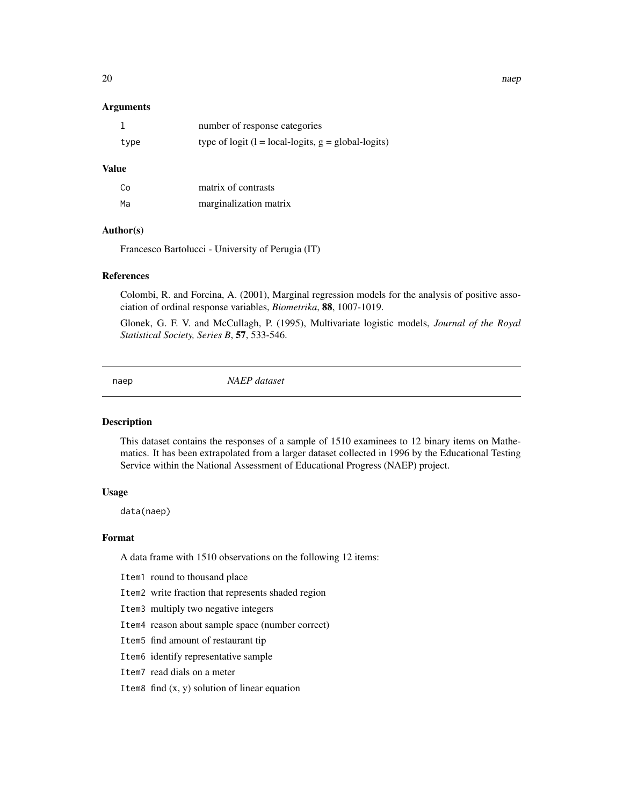#### <span id="page-19-0"></span>Arguments

|      | number of response categories                         |
|------|-------------------------------------------------------|
| type | type of logit $(l = local-logits, g = global-logits)$ |

#### Value

| Co | matrix of contrasts    |
|----|------------------------|
| Мa | marginalization matrix |

# Author(s)

Francesco Bartolucci - University of Perugia (IT)

#### References

Colombi, R. and Forcina, A. (2001), Marginal regression models for the analysis of positive association of ordinal response variables, *Biometrika*, 88, 1007-1019.

Glonek, G. F. V. and McCullagh, P. (1995), Multivariate logistic models, *Journal of the Royal Statistical Society, Series B*, 57, 533-546.

naep *NAEP dataset*

#### Description

This dataset contains the responses of a sample of 1510 examinees to 12 binary items on Mathematics. It has been extrapolated from a larger dataset collected in 1996 by the Educational Testing Service within the National Assessment of Educational Progress (NAEP) project.

# Usage

data(naep)

#### Format

A data frame with 1510 observations on the following 12 items:

Item1 round to thousand place

- Item2 write fraction that represents shaded region
- Item3 multiply two negative integers
- Item4 reason about sample space (number correct)
- Item5 find amount of restaurant tip
- Item6 identify representative sample
- Item7 read dials on a meter
- Item8 find  $(x, y)$  solution of linear equation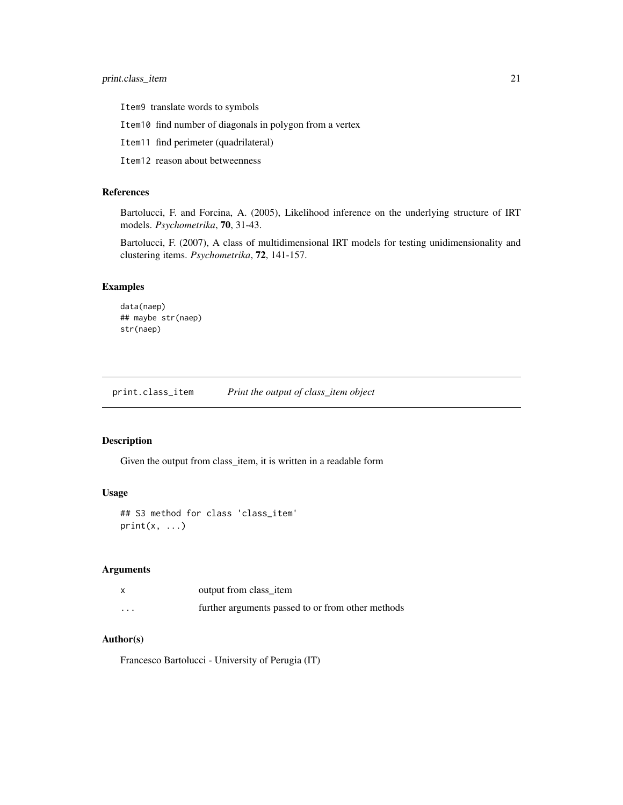<span id="page-20-0"></span>Item9 translate words to symbols

Item10 find number of diagonals in polygon from a vertex

Item11 find perimeter (quadrilateral)

Item12 reason about betweenness

#### References

Bartolucci, F. and Forcina, A. (2005), Likelihood inference on the underlying structure of IRT models. *Psychometrika*, 70, 31-43.

Bartolucci, F. (2007), A class of multidimensional IRT models for testing unidimensionality and clustering items. *Psychometrika*, 72, 141-157.

#### Examples

```
data(naep)
## maybe str(naep)
str(naep)
```
print.class\_item *Print the output of class\_item object*

#### Description

Given the output from class\_item, it is written in a readable form

#### Usage

```
## S3 method for class 'class_item'
print(x, \ldots)
```
# Arguments

|         | output from class_item                            |
|---------|---------------------------------------------------|
| $\cdot$ | further arguments passed to or from other methods |

# Author(s)

Francesco Bartolucci - University of Perugia (IT)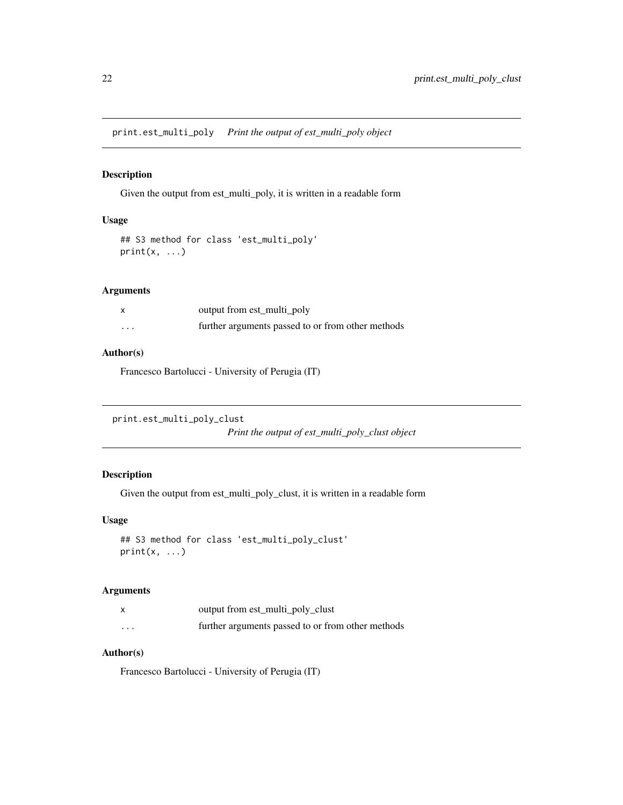<span id="page-21-0"></span>print.est\_multi\_poly *Print the output of est\_multi\_poly object*

#### Description

Given the output from est\_multi\_poly, it is written in a readable form

# Usage

```
## S3 method for class 'est_multi_poly'
print(x, \ldots)
```
#### Arguments

|          | output from est_multi_poly                        |
|----------|---------------------------------------------------|
| $\cdots$ | further arguments passed to or from other methods |

# Author(s)

Francesco Bartolucci - University of Perugia (IT)

```
print.est_multi_poly_clust
```
*Print the output of est\_multi\_poly\_clust object*

# Description

Given the output from est\_multi\_poly\_clust, it is written in a readable form

# Usage

```
## S3 method for class 'est_multi_poly_clust'
print(x, \ldots)
```
# Arguments

| X | output from est_multi_poly_clust                  |
|---|---------------------------------------------------|
| . | further arguments passed to or from other methods |

# Author(s)

Francesco Bartolucci - University of Perugia (IT)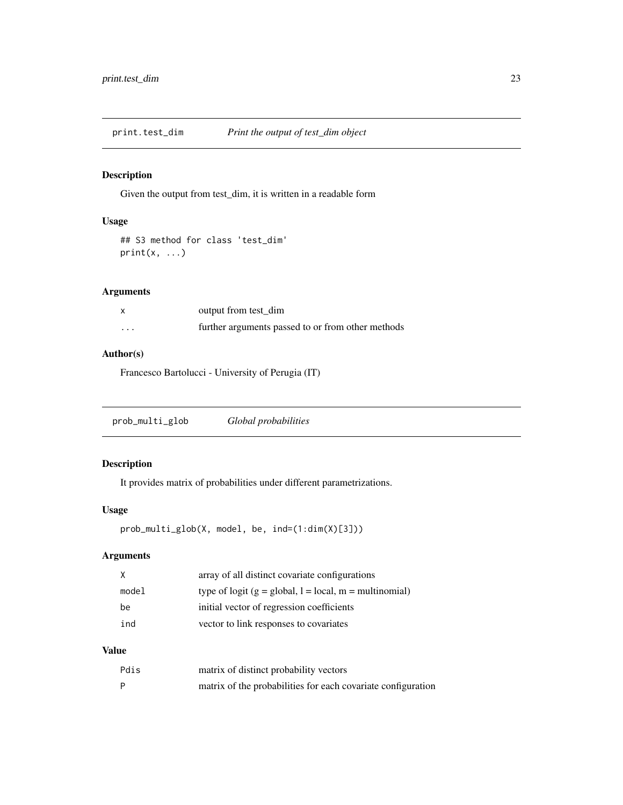<span id="page-22-0"></span>print.test\_dim *Print the output of test\_dim object*

# Description

Given the output from test\_dim, it is written in a readable form

# Usage

```
## S3 method for class 'test_dim'
print(x, \ldots)
```
# Arguments

|          | output from test dim                              |
|----------|---------------------------------------------------|
| $\cdots$ | further arguments passed to or from other methods |

#### Author(s)

Francesco Bartolucci - University of Perugia (IT)

```
prob_multi_glob Global probabilities
```
# Description

It provides matrix of probabilities under different parametrizations.

# Usage

```
prob_multi_glob(X, model, be, ind=(1:dim(X)[3]))
```
# Arguments

| X     | array of all distinct covariate configurations           |
|-------|----------------------------------------------------------|
| model | type of logit $(g = global, l = local, m = multinomial)$ |
| be    | initial vector of regression coefficients                |
| ind   | vector to link responses to covariates                   |

# Value

| Pdis         | matrix of distinct probability vectors                       |
|--------------|--------------------------------------------------------------|
| $\mathsf{P}$ | matrix of the probabilities for each covariate configuration |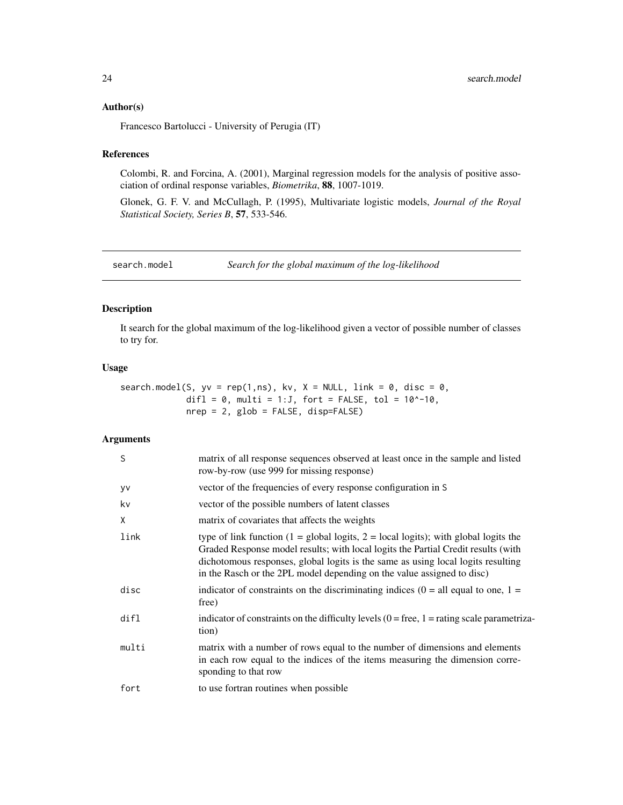#### <span id="page-23-0"></span>Author(s)

Francesco Bartolucci - University of Perugia (IT)

# References

Colombi, R. and Forcina, A. (2001), Marginal regression models for the analysis of positive association of ordinal response variables, *Biometrika*, 88, 1007-1019.

Glonek, G. F. V. and McCullagh, P. (1995), Multivariate logistic models, *Journal of the Royal Statistical Society, Series B*, 57, 533-546.

search.model *Search for the global maximum of the log-likelihood*

# Description

It search for the global maximum of the log-likelihood given a vector of possible number of classes to try for.

# Usage

```
search.model(S, yy = rep(1, ns), kv, X = NULL, link = 0, disc = 0,
             difl = 0, multi = 1:J, fort = FALSE, tol = 10^{\circ}-10,
             nrep = 2, glob = FALSE, disp=FALSE)
```

| S     | matrix of all response sequences observed at least once in the sample and listed<br>row-by-row (use 999 for missing response)                                                                                                                                                                                                                           |
|-------|---------------------------------------------------------------------------------------------------------------------------------------------------------------------------------------------------------------------------------------------------------------------------------------------------------------------------------------------------------|
| yv    | vector of the frequencies of every response configuration in S                                                                                                                                                                                                                                                                                          |
| kv    | vector of the possible numbers of latent classes                                                                                                                                                                                                                                                                                                        |
| X     | matrix of covariates that affects the weights                                                                                                                                                                                                                                                                                                           |
| link  | type of link function $(1 = \text{global logits}, 2 = \text{local logits})$ ; with global logits the<br>Graded Response model results; with local logits the Partial Credit results (with<br>dichotomous responses, global logits is the same as using local logits resulting<br>in the Rasch or the 2PL model depending on the value assigned to disc) |
| disc  | indicator of constraints on the discriminating indices $(0 = \text{all equal to one}, 1 =$<br>free)                                                                                                                                                                                                                                                     |
| dir1  | indicator of constraints on the difficulty levels $(0 = free, 1 = rating scale parametriza-$<br>tion)                                                                                                                                                                                                                                                   |
| multi | matrix with a number of rows equal to the number of dimensions and elements<br>in each row equal to the indices of the items measuring the dimension corre-<br>sponding to that row                                                                                                                                                                     |
| fort  | to use fortran routines when possible                                                                                                                                                                                                                                                                                                                   |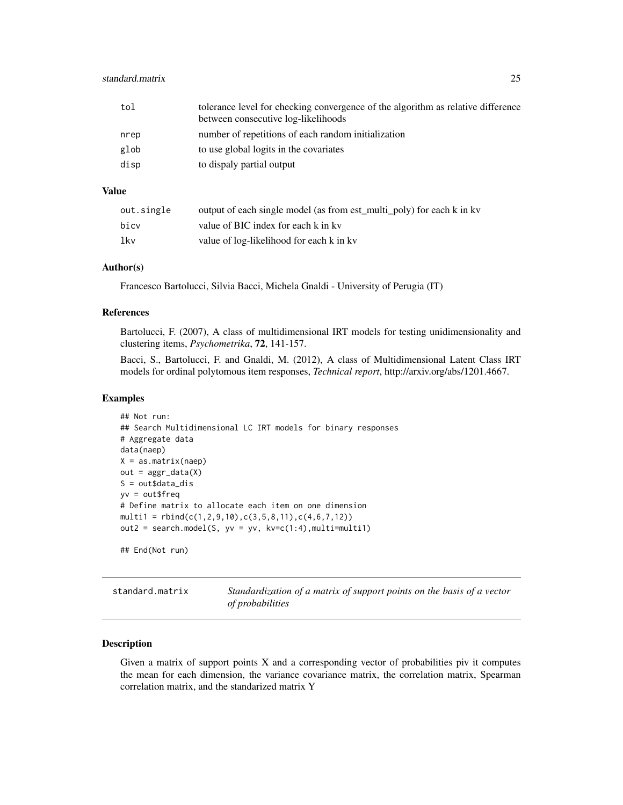# <span id="page-24-0"></span>standard.matrix 25

| tol  | tolerance level for checking convergence of the algorithm as relative difference<br>between consecutive log-likelihoods |
|------|-------------------------------------------------------------------------------------------------------------------------|
| nrep | number of repetitions of each random initialization                                                                     |
| glob | to use global logits in the covariates                                                                                  |
| disp | to dispaly partial output                                                                                               |

# Value

| out.single | output of each single model (as from est_multi_poly) for each k in kv |
|------------|-----------------------------------------------------------------------|
| bicv       | value of BIC index for each k in ky                                   |
| lkv        | value of log-likelihood for each k in kv                              |

# Author(s)

Francesco Bartolucci, Silvia Bacci, Michela Gnaldi - University of Perugia (IT)

#### References

Bartolucci, F. (2007), A class of multidimensional IRT models for testing unidimensionality and clustering items, *Psychometrika*, 72, 141-157.

Bacci, S., Bartolucci, F. and Gnaldi, M. (2012), A class of Multidimensional Latent Class IRT models for ordinal polytomous item responses, *Technical report*, http://arxiv.org/abs/1201.4667.

#### Examples

```
## Not run:
## Search Multidimensional LC IRT models for binary responses
# Aggregate data
data(naep)
X = as_matrix(naep)out = <math>aggr</math> (data(X))S = out\dot{a}ta\_dis
yv = out$freq
# Define matrix to allocate each item on one dimension
multi1 = rbind(c(1, 2, 9, 10), c(3, 5, 8, 11), c(4, 6, 7, 12))out2 = search.model(S, yv = yv, kv=c(1:4), multi=multi1)
## End(Not run)
```
standard.matrix *Standardization of a matrix of support points on the basis of a vector of probabilities*

#### Description

Given a matrix of support points X and a corresponding vector of probabilities piv it computes the mean for each dimension, the variance covariance matrix, the correlation matrix, Spearman correlation matrix, and the standarized matrix Y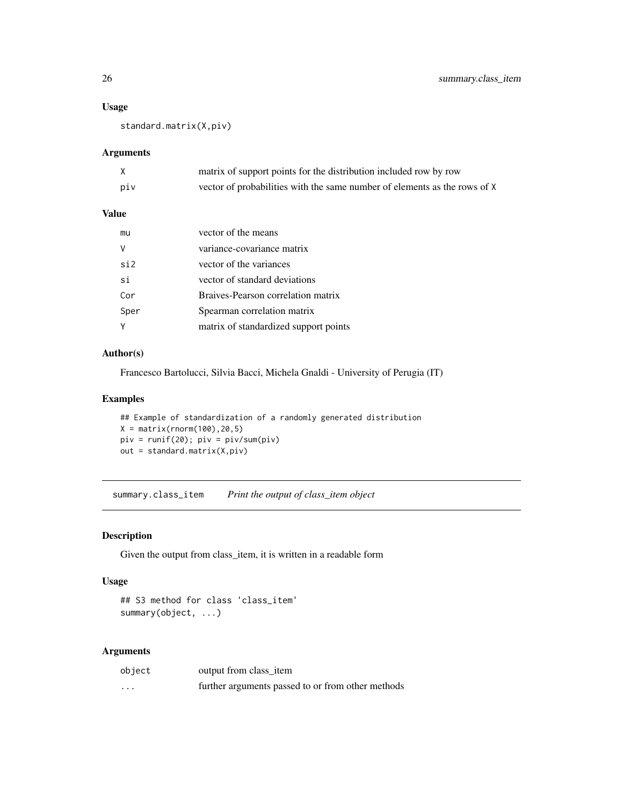#### Usage

standard.matrix(X,piv)

#### Arguments

|     | matrix of support points for the distribution included row by row         |
|-----|---------------------------------------------------------------------------|
| piv | vector of probabilities with the same number of elements as the rows of X |

# Value

| mu   | vector of the means                   |
|------|---------------------------------------|
|      | variance-covariance matrix            |
| si2  | vector of the variances               |
| si   | vector of standard deviations         |
| Cor  | Braives-Pearson correlation matrix    |
| Sper | Spearman correlation matrix           |
|      | matrix of standardized support points |

#### Author(s)

Francesco Bartolucci, Silvia Bacci, Michela Gnaldi - University of Perugia (IT)

#### Examples

```
## Example of standardization of a randomly generated distribution
X = matrix(rnorm(100), 20, 5)piv = runif(20); piv = piv/sum(piv)
out = standard.matrix(X,piv)
```
summary.class\_item *Print the output of class\_item object*

# Description

Given the output from class\_item, it is written in a readable form

# Usage

```
## S3 method for class 'class_item'
summary(object, ...)
```

| object  | output from class_item                            |
|---------|---------------------------------------------------|
| $\cdot$ | further arguments passed to or from other methods |

<span id="page-25-0"></span>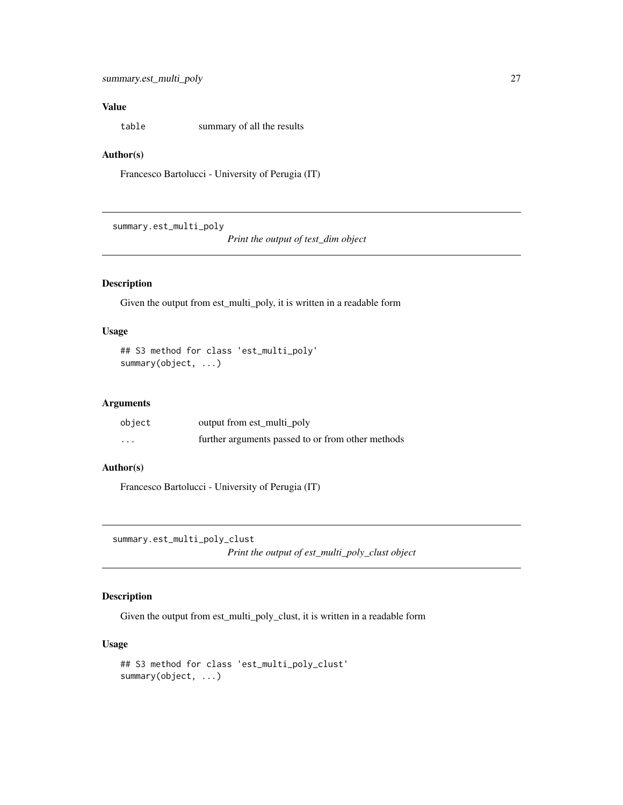# <span id="page-26-0"></span>Value

table summary of all the results

# Author(s)

Francesco Bartolucci - University of Perugia (IT)

summary.est\_multi\_poly

*Print the output of test\_dim object*

# Description

Given the output from est\_multi\_poly, it is written in a readable form

# Usage

```
## S3 method for class 'est_multi_poly'
summary(object, ...)
```
#### Arguments

| object                  | output from est_multi_poly                        |
|-------------------------|---------------------------------------------------|
| $\cdot$ $\cdot$ $\cdot$ | further arguments passed to or from other methods |

# Author(s)

Francesco Bartolucci - University of Perugia (IT)

summary.est\_multi\_poly\_clust

*Print the output of est\_multi\_poly\_clust object*

#### Description

Given the output from est\_multi\_poly\_clust, it is written in a readable form

# Usage

```
## S3 method for class 'est_multi_poly_clust'
summary(object, ...)
```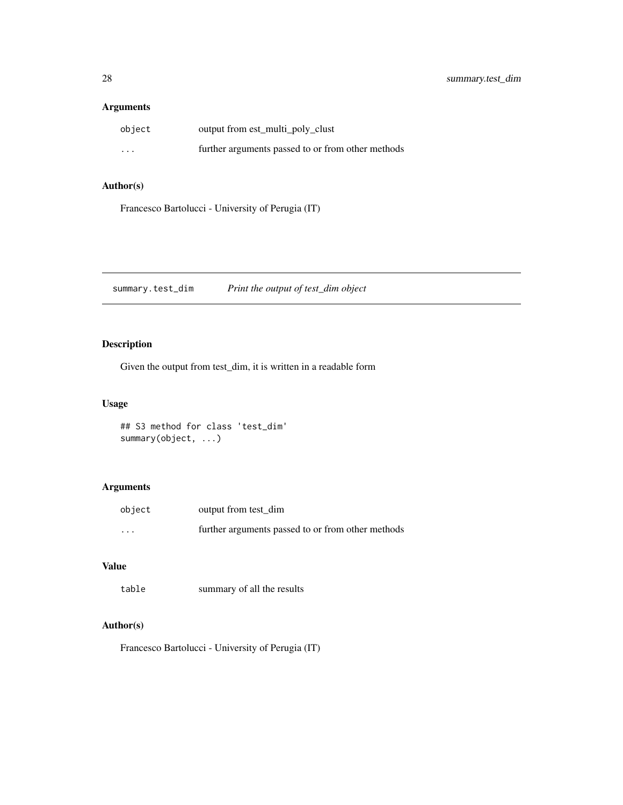# <span id="page-27-0"></span>Arguments

| object   | output from est_multi_poly_clust                  |
|----------|---------------------------------------------------|
| $\cdots$ | further arguments passed to or from other methods |

# Author(s)

Francesco Bartolucci - University of Perugia (IT)

summary.test\_dim *Print the output of test\_dim object*

# Description

Given the output from test\_dim, it is written in a readable form

# Usage

```
## S3 method for class 'test_dim'
summary(object, ...)
```
# Arguments

| object   | output from test dim                              |
|----------|---------------------------------------------------|
| $\cdots$ | further arguments passed to or from other methods |

# Value

```
table summary of all the results
```
# Author(s)

Francesco Bartolucci - University of Perugia (IT)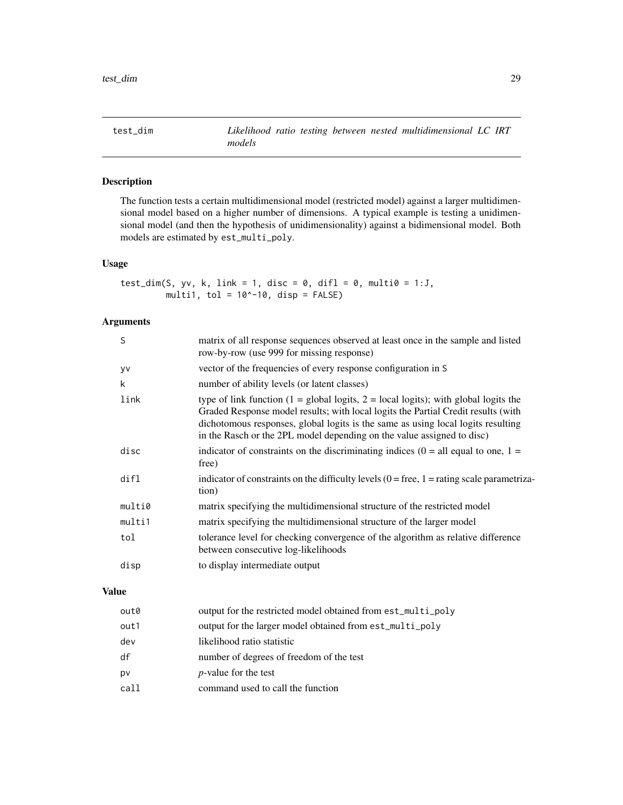<span id="page-28-0"></span>

# Description

The function tests a certain multidimensional model (restricted model) against a larger multidimensional model based on a higher number of dimensions. A typical example is testing a unidimensional model (and then the hypothesis of unidimensionality) against a bidimensional model. Both models are estimated by est\_multi\_poly.

#### Usage

```
test_dim(S, yv, k, link = 1, disc = 0, difl = 0, multi0 = 1:J,
         multi1, tol = 10^{\circ}-10, disp = FALSE)
```
# Arguments

| S      | matrix of all response sequences observed at least once in the sample and listed<br>row-by-row (use 999 for missing response)                                                                                                                                                                                                                           |
|--------|---------------------------------------------------------------------------------------------------------------------------------------------------------------------------------------------------------------------------------------------------------------------------------------------------------------------------------------------------------|
| yv     | vector of the frequencies of every response configuration in S                                                                                                                                                                                                                                                                                          |
| k      | number of ability levels (or latent classes)                                                                                                                                                                                                                                                                                                            |
| link   | type of link function $(1 = \text{global logits}, 2 = \text{local logits})$ ; with global logits the<br>Graded Response model results; with local logits the Partial Credit results (with<br>dichotomous responses, global logits is the same as using local logits resulting<br>in the Rasch or the 2PL model depending on the value assigned to disc) |
| disc   | indicator of constraints on the discriminating indices ( $0 =$ all equal to one, $1 =$<br>free)                                                                                                                                                                                                                                                         |
| dir1   | indicator of constraints on the difficulty levels $(0 = free, 1 = rating scale parametriza-$<br>tion)                                                                                                                                                                                                                                                   |
| multi0 | matrix specifying the multidimensional structure of the restricted model                                                                                                                                                                                                                                                                                |
| multi1 | matrix specifying the multidimensional structure of the larger model                                                                                                                                                                                                                                                                                    |
| tol    | tolerance level for checking convergence of the algorithm as relative difference<br>between consecutive log-likelihoods                                                                                                                                                                                                                                 |
| disp   | to display intermediate output                                                                                                                                                                                                                                                                                                                          |

# Value

| out0 | output for the restricted model obtained from est_multi_poly |
|------|--------------------------------------------------------------|
| out1 | output for the larger model obtained from est_multi_poly     |
| dev  | likelihood ratio statistic                                   |
| df   | number of degrees of freedom of the test                     |
| pv   | <i>p</i> -value for the test                                 |
| call | command used to call the function                            |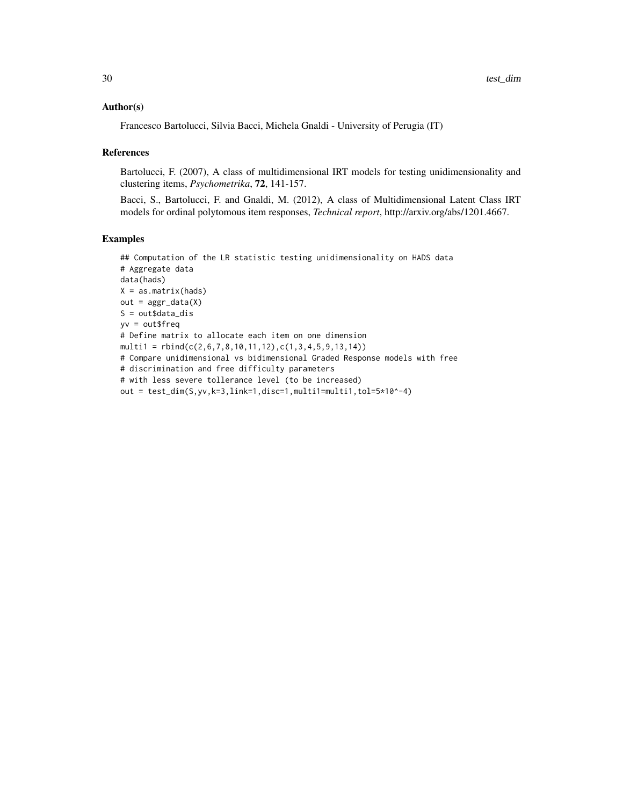#### Author(s)

Francesco Bartolucci, Silvia Bacci, Michela Gnaldi - University of Perugia (IT)

#### References

Bartolucci, F. (2007), A class of multidimensional IRT models for testing unidimensionality and clustering items, *Psychometrika*, 72, 141-157.

Bacci, S., Bartolucci, F. and Gnaldi, M. (2012), A class of Multidimensional Latent Class IRT models for ordinal polytomous item responses, *Technical report*, http://arxiv.org/abs/1201.4667.

# Examples

```
## Computation of the LR statistic testing unidimensionality on HADS data
# Aggregate data
data(hads)
X = as.matrix(hads)
out = aggr_data(X)S = out$data_dis
yv = out$freq
# Define matrix to allocate each item on one dimension
multi1 = rbind(c(2,6,7,8,10,11,12),c(1,3,4,5,9,13,14))
# Compare unidimensional vs bidimensional Graded Response models with free
# discrimination and free difficulty parameters
# with less severe tollerance level (to be increased)
out = test_dim(S,yv,k=3,link=1,disc=1,multi1=multi1,tol=5*10^-4)
```